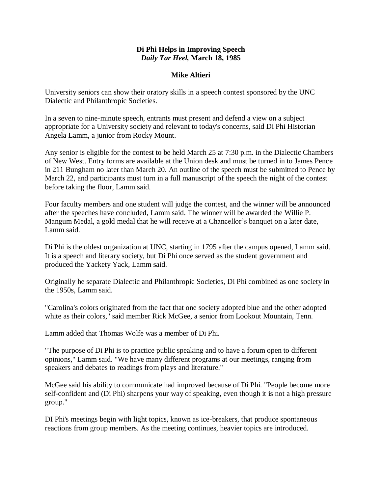## **Di Phi Helps in Improving Speech** *Daily Tar Heel,* **March 18, 1985**

## **Mike Altieri**

University seniors can show their oratory skills in a speech contest sponsored by the UNC Dialectic and Philanthropic Societies.

In a seven to nine-minute speech, entrants must present and defend a view on a subject appropriate for a University society and relevant to today's concerns, said Di Phi Historian Angela Lamm, a junior from Rocky Mount.

Any senior is eligible for the contest to be held March 25 at 7:30 p.m. in the Dialectic Chambers of New West. Entry forms are available at the Union desk and must be turned in to James Pence in 211 Bungham no later than March 20. An outline of the speech must be submitted to Pence by March 22, and participants must turn in a full manuscript of the speech the night of the contest before taking the floor, Lamm said.

Four faculty members and one student will judge the contest, and the winner will be announced after the speeches have concluded, Lamm said. The winner will be awarded the Willie P. Mangum Medal, a gold medal that he will receive at a Chancellor's banquet on a later date, Lamm said.

Di Phi is the oldest organization at UNC, starting in 1795 after the campus opened, Lamm said. It is a speech and literary society, but Di Phi once served as the student government and produced the Yackety Yack, Lamm said.

Originally he separate Dialectic and Philanthropic Societies, Di Phi combined as one society in the 1950s, Lamm said.

"Carolina's colors originated from the fact that one society adopted blue and the other adopted white as their colors," said member Rick McGee, a senior from Lookout Mountain, Tenn.

Lamm added that Thomas Wolfe was a member of Di Phi.

"The purpose of Di Phi is to practice public speaking and to have a forum open to different opinions," Lamm said. "We have many different programs at our meetings, ranging from speakers and debates to readings from plays and literature."

McGee said his ability to communicate had improved because of Di Phi. "People become more self-confident and (Di Phi) sharpens your way of speaking, even though it is not a high pressure group."

DI Phi's meetings begin with light topics, known as ice-breakers, that produce spontaneous reactions from group members. As the meeting continues, heavier topics are introduced.